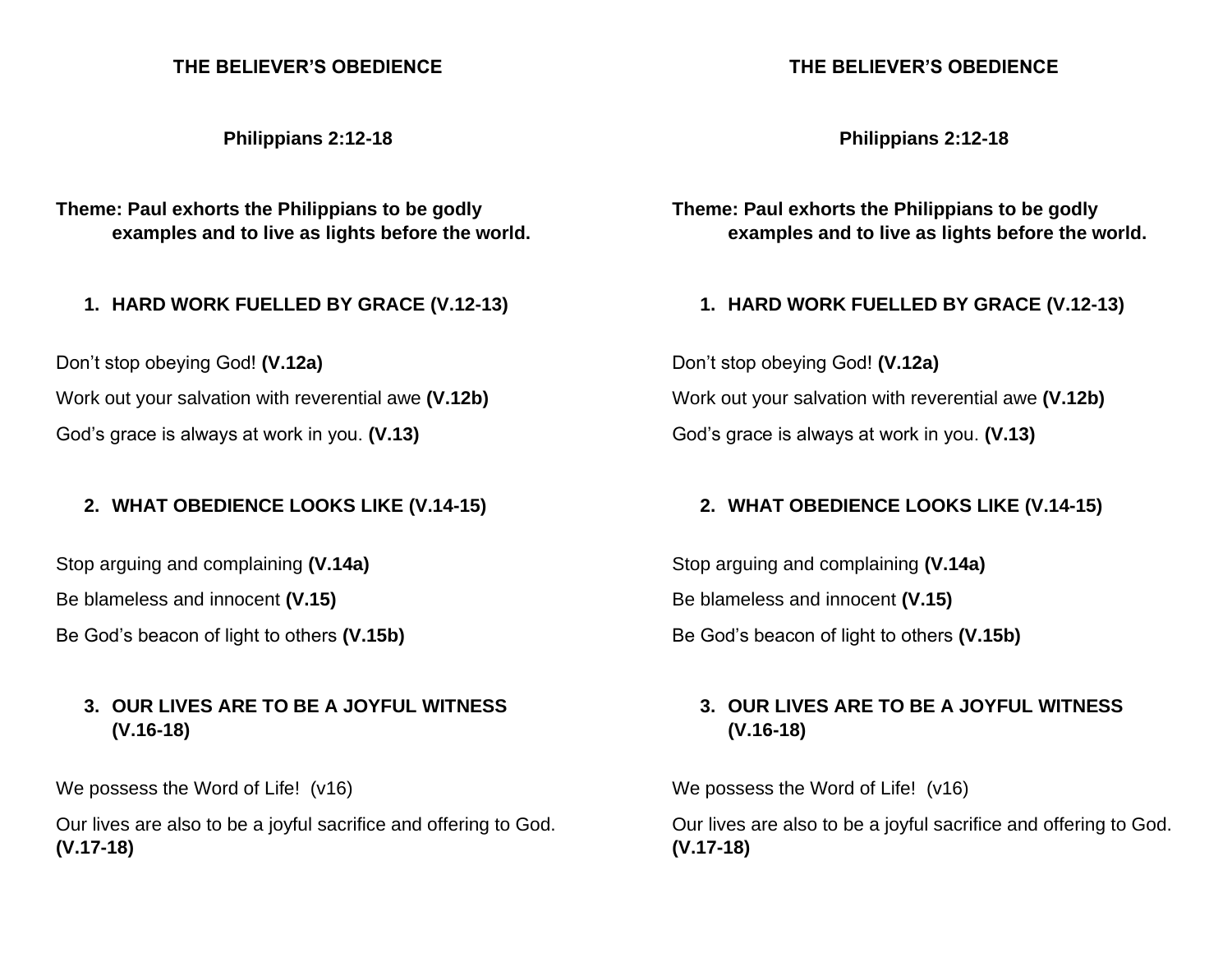#### **THE BELIEVER'S OBEDIENCE**

**Philippians 2:12-18**

**Theme: Paul exhorts the Philippians to be godly examples and to live as lights before the world.**

**1. HARD WORK FUELLED BY GRACE (V.12-13)**

Don't stop obeying God! **(V.12a)** Work out your salvation with reverential awe **(V.12b)** God's grace is always at work in you. **(V.13)**

## **2. WHAT OBEDIENCE LOOKS LIKE (V.14-15)**

Stop arguing and complaining **(V.14a)**

Be blameless and innocent **(V.15)**

Be God's beacon of light to others **(V.15b)**

## **3. OUR LIVES ARE TO BE A JOYFUL WITNESS (V.16-18)**

We possess the Word of Life! (v16)

Our lives are also to be a joyful sacrifice and offering to God. **(V.17-18)**

#### **THE BELIEVER'S OBEDIENCE**

**Philippians 2:12-18**

**Theme: Paul exhorts the Philippians to be godly examples and to live as lights before the world.**

**1. HARD WORK FUELLED BY GRACE (V.12-13)**

Don't stop obeying God! **(V.12a)** Work out your salvation with reverential awe **(V.12b)** God's grace is always at work in you. **(V.13)**

#### **2. WHAT OBEDIENCE LOOKS LIKE (V.14-15)**

Stop arguing and complaining **(V.14a)** Be blameless and innocent **(V.15)** Be God's beacon of light to others **(V.15b)**

# **3. OUR LIVES ARE TO BE A JOYFUL WITNESS (V.16-18)**

We possess the Word of Life! (v16)

Our lives are also to be a joyful sacrifice and offering to God. **(V.17-18)**